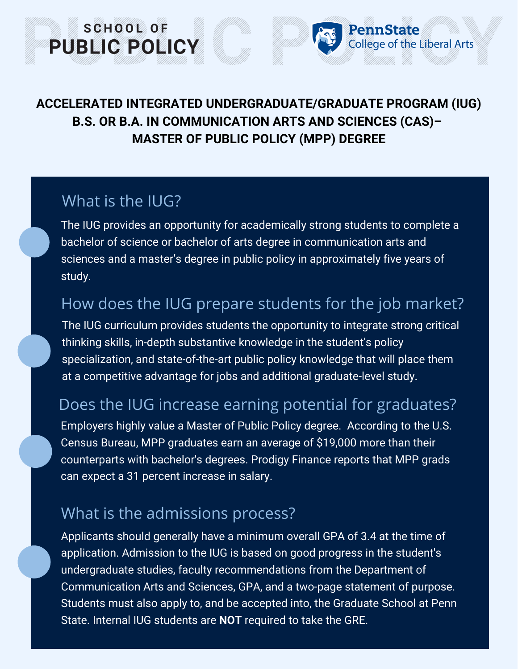#### **ACCELERATED INTEGRATED UNDERGRADUATE/GRADUATE PROGRAM (IUG) B.S. OR B.A. IN COMMUNICATION ARTS AND SCIENCES (CAS)– MASTER OF PUBLIC POLICY (MPP) DEGREE**

PennState

ollege of the Liberal Arts

### What is the IUG?

SCHOOL OF

**PUBLIC POLICY** 

The IUG provides an opportunity for academically strong students to complete a bachelor of science or bachelor of arts degree in communication arts and sciences and a master's degree in public policy in approximately five years of study.

# How does the IUG prepare students for the job market?

The IUG curriculum provides students the opportunity to integrate strong critical thinking skills, in-depth substantive knowledge in the student's policy specialization, and state-of-the-art public policy knowledge that will place them at a competitive advantage for jobs and additional graduate-level study.

# Does the IUG increase earning potential for graduates?

Employers highly value a Master of Public Policy degree. According to the U.S. Census Bureau, MPP graduates earn an average of \$19,000 more than their counterparts with bachelor's degrees. Prodigy Finance reports that MPP grads can expect a 31 percent increase in salary.

# What is the admissions process?

Applicants should generally have a minimum overall GPA of 3.4 at the time of application. Admission to the IUG is based on good progress in the student's undergraduate studies, faculty recommendations from the Department of Communication Arts and Sciences, GPA, and a two-page statement of purpose. Students must also apply to, and be accepted into, the Graduate School at Penn State. Internal IUG students are **NOT** required to take the GRE.